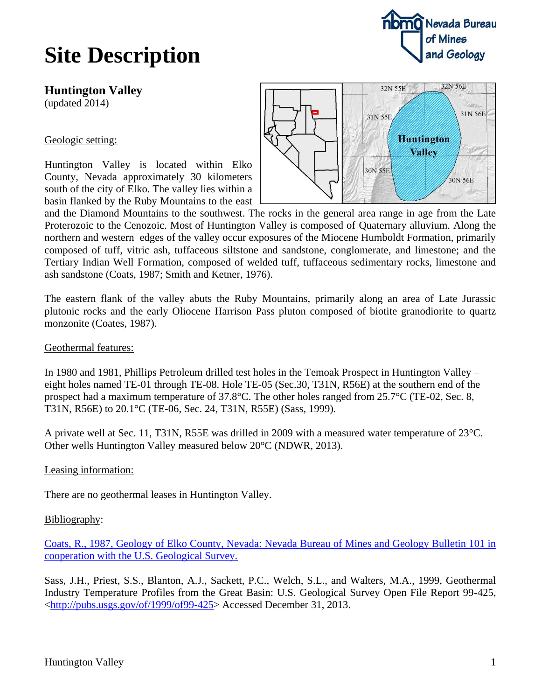## **Site Description**



(updated 2014)

### Geologic setting:

Huntington Valley is located within Elko County, Nevada approximately 30 kilometers south of the city of Elko. The valley lies within a basin flanked by the Ruby Mountains to the east



and the Diamond Mountains to the southwest. The rocks in the general area range in age from the Late Proterozoic to the Cenozoic. Most of Huntington Valley is composed of Quaternary alluvium. Along the northern and western edges of the valley occur exposures of the Miocene Humboldt Formation, primarily composed of tuff, vitric ash, tuffaceous siltstone and sandstone, conglomerate, and limestone; and the Tertiary Indian Well Formation, composed of welded tuff, tuffaceous sedimentary rocks, limestone and ash sandstone (Coats, 1987; Smith and Ketner, 1976).

The eastern flank of the valley abuts the Ruby Mountains, primarily along an area of Late Jurassic plutonic rocks and the early Oliocene Harrison Pass pluton composed of biotite granodiorite to quartz monzonite (Coates, 1987).

#### Geothermal features:

In 1980 and 1981, Phillips Petroleum drilled test holes in the Temoak Prospect in Huntington Valley – eight holes named TE-01 through TE-08. Hole TE-05 (Sec.30, T31N, R56E) at the southern end of the prospect had a maximum temperature of 37.8°C. The other holes ranged from 25.7°C (TE-02, Sec. 8, T31N, R56E) to 20.1°C (TE-06, Sec. 24, T31N, R55E) (Sass, 1999).

A private well at Sec. 11, T31N, R55E was drilled in 2009 with a measured water temperature of 23°C. Other wells Huntington Valley measured below 20°C (NDWR, 2013).

#### Leasing information:

There are no geothermal leases in Huntington Valley.

#### Bibliography:

[Coats, R., 1987, Geology of Elko County, Nevada: Nevada Bureau of Mines and Geology Bulletin 101 in](http://www.nbmg.unr.edu/dox/dox.htm#1)  [cooperation with the U.S. Geological Survey.](http://www.nbmg.unr.edu/dox/dox.htm#1)

Sass, J.H., Priest, S.S., Blanton, A.J., Sackett, P.C., Welch, S.L., and Walters, M.A., 1999, Geothermal Industry Temperature Profiles from the Great Basin: U.S. Geological Survey Open File Report 99-425, [<http://pubs.usgs.gov/of/1999/of99-425>](http://pubs.usgs.gov/of/1999/of99-425) Accessed December 31, 2013.